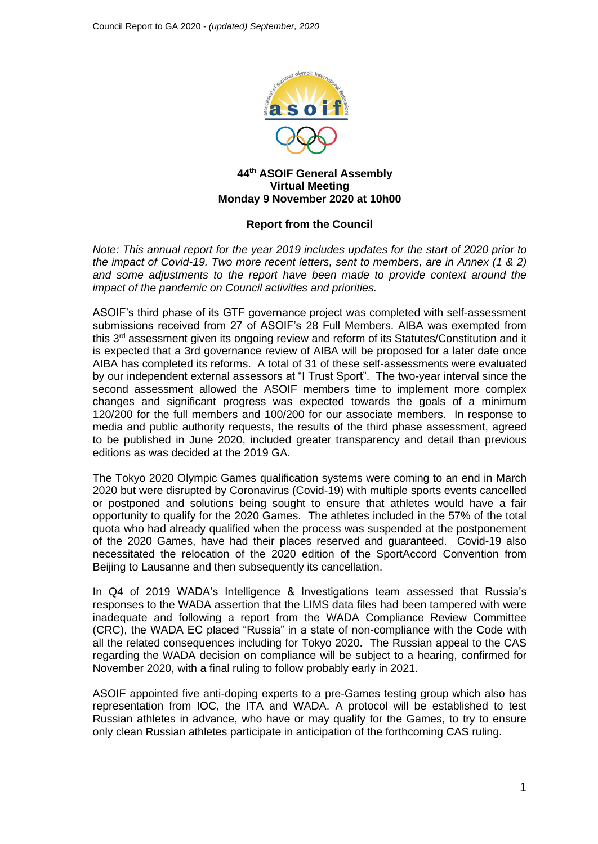

### **44th ASOIF General Assembly Virtual Meeting Monday 9 November 2020 at 10h00**

## **Report from the Council**

*Note: This annual report for the year 2019 includes updates for the start of 2020 prior to the impact of Covid-19. Two more recent letters, sent to members, are in Annex (1 & 2) and some adjustments to the report have been made to provide context around the impact of the pandemic on Council activities and priorities.*

ASOIF's third phase of its GTF governance project was completed with self-assessment submissions received from 27 of ASOIF's 28 Full Members. AIBA was exempted from this 3rd assessment given its ongoing review and reform of its Statutes/Constitution and it is expected that a 3rd governance review of AIBA will be proposed for a later date once AIBA has completed its reforms. A total of 31 of these self-assessments were evaluated by our independent external assessors at "I Trust Sport". The two-year interval since the second assessment allowed the ASOIF members time to implement more complex changes and significant progress was expected towards the goals of a minimum 120/200 for the full members and 100/200 for our associate members. In response to media and public authority requests, the results of the third phase assessment, agreed to be published in June 2020, included greater transparency and detail than previous editions as was decided at the 2019 GA.

The Tokyo 2020 Olympic Games qualification systems were coming to an end in March 2020 but were disrupted by Coronavirus (Covid-19) with multiple sports events cancelled or postponed and solutions being sought to ensure that athletes would have a fair opportunity to qualify for the 2020 Games. The athletes included in the 57% of the total quota who had already qualified when the process was suspended at the postponement of the 2020 Games, have had their places reserved and guaranteed. Covid-19 also necessitated the relocation of the 2020 edition of the SportAccord Convention from Beijing to Lausanne and then subsequently its cancellation.

In Q4 of 2019 WADA's Intelligence & Investigations team assessed that Russia's responses to the WADA assertion that the LIMS data files had been tampered with were inadequate and following a report from the WADA Compliance Review Committee (CRC), the WADA EC placed "Russia" in a state of non-compliance with the Code with all the related consequences including for Tokyo 2020. The Russian appeal to the CAS regarding the WADA decision on compliance will be subject to a hearing, confirmed for November 2020, with a final ruling to follow probably early in 2021.

ASOIF appointed five anti-doping experts to a pre-Games testing group which also has representation from IOC, the ITA and WADA. A protocol will be established to test Russian athletes in advance, who have or may qualify for the Games, to try to ensure only clean Russian athletes participate in anticipation of the forthcoming CAS ruling.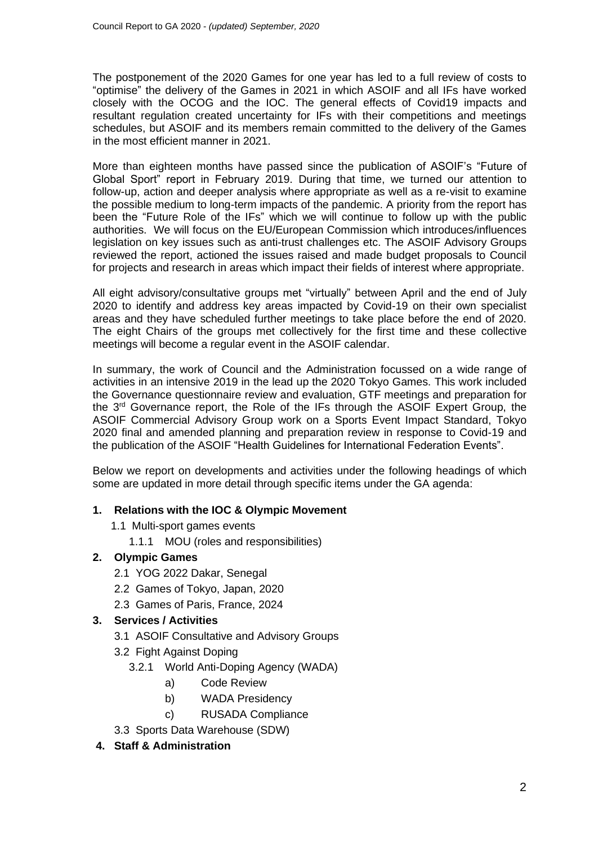The postponement of the 2020 Games for one year has led to a full review of costs to "optimise" the delivery of the Games in 2021 in which ASOIF and all IFs have worked closely with the OCOG and the IOC. The general effects of Covid19 impacts and resultant regulation created uncertainty for IFs with their competitions and meetings schedules, but ASOIF and its members remain committed to the delivery of the Games in the most efficient manner in 2021.

More than eighteen months have passed since the publication of ASOIF's "Future of Global Sport" report in February 2019. During that time, we turned our attention to follow-up, action and deeper analysis where appropriate as well as a re-visit to examine the possible medium to long-term impacts of the pandemic. A priority from the report has been the "Future Role of the IFs" which we will continue to follow up with the public authorities. We will focus on the EU/European Commission which introduces/influences legislation on key issues such as anti-trust challenges etc. The ASOIF Advisory Groups reviewed the report, actioned the issues raised and made budget proposals to Council for projects and research in areas which impact their fields of interest where appropriate.

All eight advisory/consultative groups met "virtually" between April and the end of July 2020 to identify and address key areas impacted by Covid-19 on their own specialist areas and they have scheduled further meetings to take place before the end of 2020. The eight Chairs of the groups met collectively for the first time and these collective meetings will become a regular event in the ASOIF calendar.

In summary, the work of Council and the Administration focussed on a wide range of activities in an intensive 2019 in the lead up the 2020 Tokyo Games. This work included the Governance questionnaire review and evaluation, GTF meetings and preparation for the 3<sup>rd</sup> Governance report, the Role of the IFs through the ASOIF Expert Group, the ASOIF Commercial Advisory Group work on a Sports Event Impact Standard, Tokyo 2020 final and amended planning and preparation review in response to Covid-19 and the publication of the ASOIF "Health Guidelines for International Federation Events".

Below we report on developments and activities under the following headings of which some are updated in more detail through specific items under the GA agenda:

## **1. Relations with the IOC & Olympic Movement**

- 1.1 Multi-sport games events
	- 1.1.1 MOU (roles and responsibilities)

# **2. Olympic Games**

- 2.1 YOG 2022 Dakar, Senegal
- 2.2 Games of Tokyo, Japan, 2020
- 2.3 Games of Paris, France, 2024

# **3. Services / Activities**

- 3.1 ASOIF Consultative and Advisory Groups
- 3.2 Fight Against Doping
	- 3.2.1 World Anti-Doping Agency (WADA)
		- a) Code Review
		- b) WADA Presidency
		- c) RUSADA Compliance
- 3.3 Sports Data Warehouse (SDW)

# **4. Staff & Administration**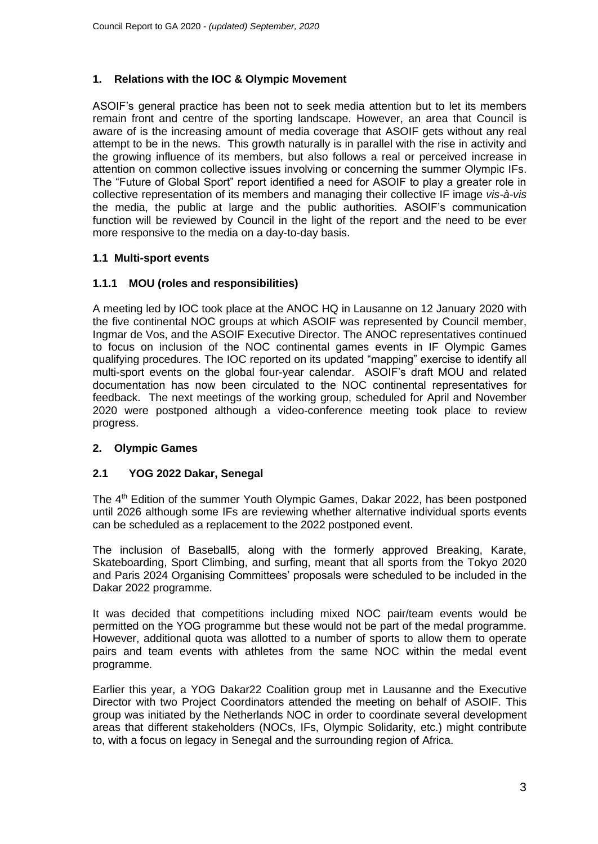## **1. Relations with the IOC & Olympic Movement**

ASOIF's general practice has been not to seek media attention but to let its members remain front and centre of the sporting landscape. However, an area that Council is aware of is the increasing amount of media coverage that ASOIF gets without any real attempt to be in the news. This growth naturally is in parallel with the rise in activity and the growing influence of its members, but also follows a real or perceived increase in attention on common collective issues involving or concerning the summer Olympic IFs. The "Future of Global Sport" report identified a need for ASOIF to play a greater role in collective representation of its members and managing their collective IF image *vis-à-vis* the media, the public at large and the public authorities. ASOIF's communication function will be reviewed by Council in the light of the report and the need to be ever more responsive to the media on a day-to-day basis.

## **1.1 Multi-sport events**

## **1.1.1 MOU (roles and responsibilities)**

A meeting led by IOC took place at the ANOC HQ in Lausanne on 12 January 2020 with the five continental NOC groups at which ASOIF was represented by Council member, Ingmar de Vos, and the ASOIF Executive Director. The ANOC representatives continued to focus on inclusion of the NOC continental games events in IF Olympic Games qualifying procedures. The IOC reported on its updated "mapping" exercise to identify all multi-sport events on the global four-year calendar. ASOIF's draft MOU and related documentation has now been circulated to the NOC continental representatives for feedback. The next meetings of the working group, scheduled for April and November 2020 were postponed although a video-conference meeting took place to review progress.

## **2. Olympic Games**

## **2.1 YOG 2022 Dakar, Senegal**

The 4<sup>th</sup> Edition of the summer Youth Olympic Games, Dakar 2022, has been postponed until 2026 although some IFs are reviewing whether alternative individual sports events can be scheduled as a replacement to the 2022 postponed event.

The inclusion of Baseball5, along with the formerly approved Breaking, Karate, Skateboarding, Sport Climbing, and surfing, meant that all sports from the Tokyo 2020 and Paris 2024 Organising Committees' proposals were scheduled to be included in the Dakar 2022 programme.

It was decided that competitions including mixed NOC pair/team events would be permitted on the YOG programme but these would not be part of the medal programme. However, additional quota was allotted to a number of sports to allow them to operate pairs and team events with athletes from the same NOC within the medal event programme.

Earlier this year, a YOG Dakar22 Coalition group met in Lausanne and the Executive Director with two Project Coordinators attended the meeting on behalf of ASOIF. This group was initiated by the Netherlands NOC in order to coordinate several development areas that different stakeholders (NOCs, IFs, Olympic Solidarity, etc.) might contribute to, with a focus on legacy in Senegal and the surrounding region of Africa.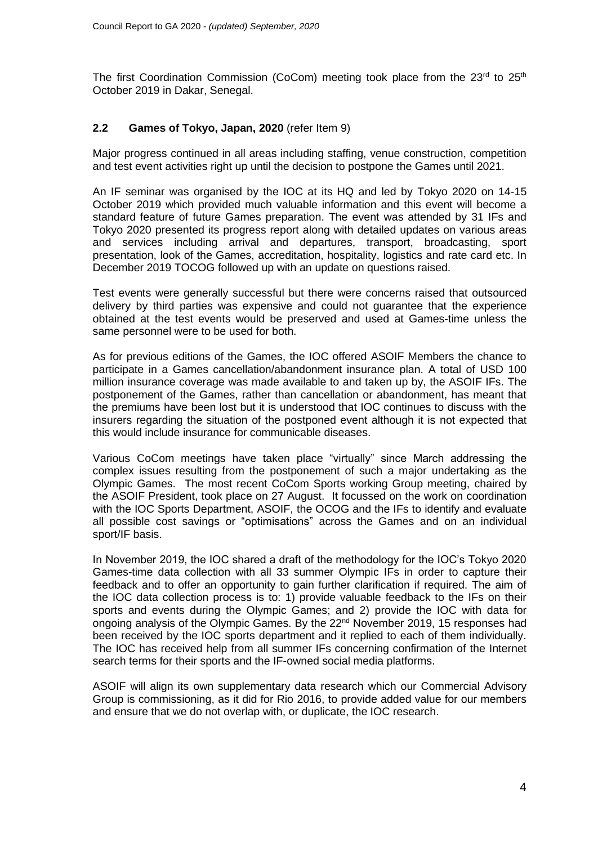The first Coordination Commission (CoCom) meeting took place from the  $23<sup>rd</sup>$  to  $25<sup>th</sup>$ October 2019 in Dakar, Senegal.

## **2.2 Games of Tokyo, Japan, 2020** (refer Item 9)

Major progress continued in all areas including staffing, venue construction, competition and test event activities right up until the decision to postpone the Games until 2021.

An IF seminar was organised by the IOC at its HQ and led by Tokyo 2020 on 14-15 October 2019 which provided much valuable information and this event will become a standard feature of future Games preparation. The event was attended by 31 IFs and Tokyo 2020 presented its progress report along with detailed updates on various areas and services including arrival and departures, transport, broadcasting, sport presentation, look of the Games, accreditation, hospitality, logistics and rate card etc. In December 2019 TOCOG followed up with an update on questions raised.

Test events were generally successful but there were concerns raised that outsourced delivery by third parties was expensive and could not guarantee that the experience obtained at the test events would be preserved and used at Games-time unless the same personnel were to be used for both.

As for previous editions of the Games, the IOC offered ASOIF Members the chance to participate in a Games cancellation/abandonment insurance plan. A total of USD 100 million insurance coverage was made available to and taken up by, the ASOIF IFs. The postponement of the Games, rather than cancellation or abandonment, has meant that the premiums have been lost but it is understood that IOC continues to discuss with the insurers regarding the situation of the postponed event although it is not expected that this would include insurance for communicable diseases.

Various CoCom meetings have taken place "virtually" since March addressing the complex issues resulting from the postponement of such a major undertaking as the Olympic Games. The most recent CoCom Sports working Group meeting, chaired by the ASOIF President, took place on 27 August. It focussed on the work on coordination with the IOC Sports Department, ASOIF, the OCOG and the IFs to identify and evaluate all possible cost savings or "optimisations" across the Games and on an individual sport/IF basis.

In November 2019, the IOC shared a draft of the methodology for the IOC's Tokyo 2020 Games-time data collection with all 33 summer Olympic IFs in order to capture their feedback and to offer an opportunity to gain further clarification if required. The aim of the IOC data collection process is to: 1) provide valuable feedback to the IFs on their sports and events during the Olympic Games; and 2) provide the IOC with data for ongoing analysis of the Olympic Games. By the 22nd November 2019, 15 responses had been received by the IOC sports department and it replied to each of them individually. The IOC has received help from all summer IFs concerning confirmation of the Internet search terms for their sports and the IF-owned social media platforms.

ASOIF will align its own supplementary data research which our Commercial Advisory Group is commissioning, as it did for Rio 2016, to provide added value for our members and ensure that we do not overlap with, or duplicate, the IOC research.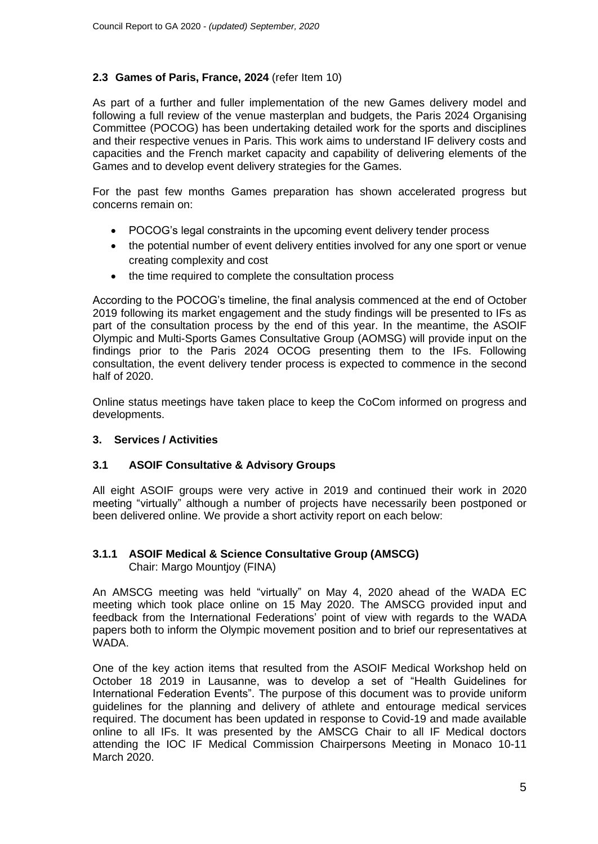# **2.3 Games of Paris, France, 2024** (refer Item 10)

As part of a further and fuller implementation of the new Games delivery model and following a full review of the venue masterplan and budgets, the Paris 2024 Organising Committee (POCOG) has been undertaking detailed work for the sports and disciplines and their respective venues in Paris. This work aims to understand IF delivery costs and capacities and the French market capacity and capability of delivering elements of the Games and to develop event delivery strategies for the Games.

For the past few months Games preparation has shown accelerated progress but concerns remain on:

- POCOG's legal constraints in the upcoming event delivery tender process
- the potential number of event delivery entities involved for any one sport or venue creating complexity and cost
- the time required to complete the consultation process

According to the POCOG's timeline, the final analysis commenced at the end of October 2019 following its market engagement and the study findings will be presented to IFs as part of the consultation process by the end of this year. In the meantime, the ASOIF Olympic and Multi-Sports Games Consultative Group (AOMSG) will provide input on the findings prior to the Paris 2024 OCOG presenting them to the IFs. Following consultation, the event delivery tender process is expected to commence in the second half of 2020.

Online status meetings have taken place to keep the CoCom informed on progress and developments.

## **3. Services / Activities**

## **3.1 ASOIF Consultative & Advisory Groups**

All eight ASOIF groups were very active in 2019 and continued their work in 2020 meeting "virtually" although a number of projects have necessarily been postponed or been delivered online. We provide a short activity report on each below:

## **3.1.1 ASOIF Medical & Science Consultative Group (AMSCG)** Chair: Margo Mountjoy (FINA)

An AMSCG meeting was held "virtually" on May 4, 2020 ahead of the WADA EC meeting which took place online on 15 May 2020. The AMSCG provided input and feedback from the International Federations' point of view with regards to the WADA papers both to inform the Olympic movement position and to brief our representatives at WADA.

One of the key action items that resulted from the ASOIF Medical Workshop held on October 18 2019 in Lausanne, was to develop a set of "Health Guidelines for International Federation Events". The purpose of this document was to provide uniform guidelines for the planning and delivery of athlete and entourage medical services required. The document has been updated in response to Covid-19 and made available online to all IFs. It was presented by the AMSCG Chair to all IF Medical doctors attending the IOC IF Medical Commission Chairpersons Meeting in Monaco 10-11 March 2020.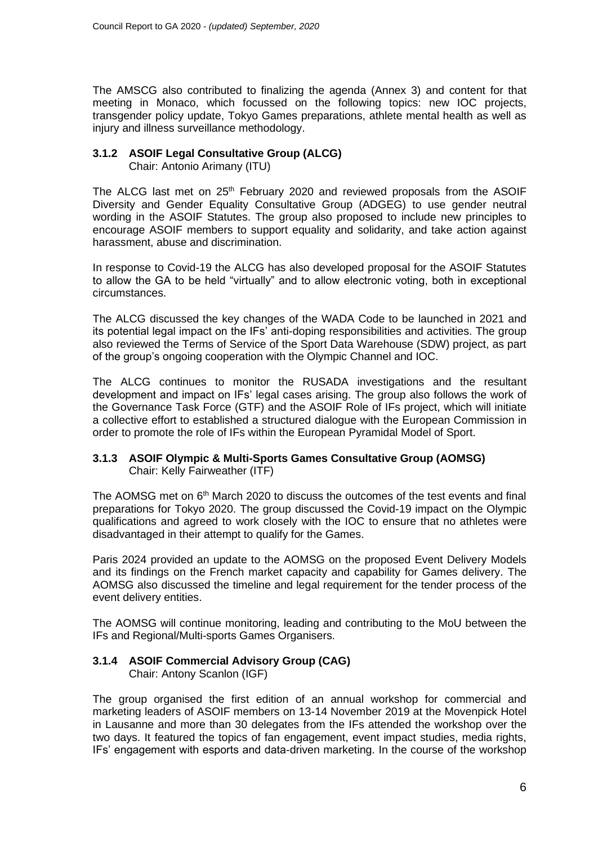The AMSCG also contributed to finalizing the agenda (Annex 3) and content for that meeting in Monaco, which focussed on the following topics: new IOC projects, transgender policy update, Tokyo Games preparations, athlete mental health as well as injury and illness surveillance methodology.

# **3.1.2 ASOIF Legal Consultative Group (ALCG)**

Chair: Antonio Arimany (ITU)

The ALCG last met on 25<sup>th</sup> February 2020 and reviewed proposals from the ASOIF Diversity and Gender Equality Consultative Group (ADGEG) to use gender neutral wording in the ASOIF Statutes. The group also proposed to include new principles to encourage ASOIF members to support equality and solidarity, and take action against harassment, abuse and discrimination.

In response to Covid-19 the ALCG has also developed proposal for the ASOIF Statutes to allow the GA to be held "virtually" and to allow electronic voting, both in exceptional circumstances.

The ALCG discussed the key changes of the WADA Code to be launched in 2021 and its potential legal impact on the IFs' anti-doping responsibilities and activities. The group also reviewed the Terms of Service of the Sport Data Warehouse (SDW) project, as part of the group's ongoing cooperation with the Olympic Channel and IOC.

The ALCG continues to monitor the RUSADA investigations and the resultant development and impact on IFs' legal cases arising. The group also follows the work of the Governance Task Force (GTF) and the ASOIF Role of IFs project, which will initiate a collective effort to established a structured dialogue with the European Commission in order to promote the role of IFs within the European Pyramidal Model of Sport.

#### **3.1.3 ASOIF Olympic & Multi-Sports Games Consultative Group (AOMSG)** Chair: Kelly Fairweather (ITF)

The AOMSG met on 6<sup>th</sup> March 2020 to discuss the outcomes of the test events and final preparations for Tokyo 2020. The group discussed the Covid-19 impact on the Olympic qualifications and agreed to work closely with the IOC to ensure that no athletes were disadvantaged in their attempt to qualify for the Games.

Paris 2024 provided an update to the AOMSG on the proposed Event Delivery Models and its findings on the French market capacity and capability for Games delivery. The AOMSG also discussed the timeline and legal requirement for the tender process of the event delivery entities.

The AOMSG will continue monitoring, leading and contributing to the MoU between the IFs and Regional/Multi-sports Games Organisers.

# **3.1.4 ASOIF Commercial Advisory Group (CAG)**

Chair: Antony Scanlon (IGF)

The group organised the first edition of an annual workshop for commercial and marketing leaders of ASOIF members on 13-14 November 2019 at the Movenpick Hotel in Lausanne and more than 30 delegates from the IFs attended the workshop over the two days. It featured the topics of fan engagement, event impact studies, media rights, IFs' engagement with esports and data-driven marketing. In the course of the workshop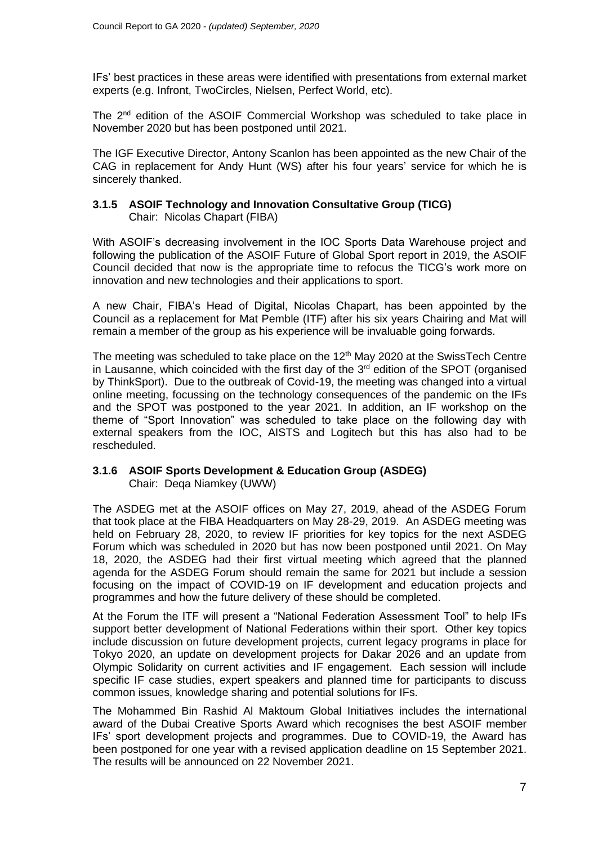IFs' best practices in these areas were identified with presentations from external market experts (e.g. Infront, TwoCircles, Nielsen, Perfect World, etc).

The 2nd edition of the ASOIF Commercial Workshop was scheduled to take place in November 2020 but has been postponed until 2021.

The IGF Executive Director, Antony Scanlon has been appointed as the new Chair of the CAG in replacement for Andy Hunt (WS) after his four years' service for which he is sincerely thanked.

## **3.1.5 ASOIF Technology and Innovation Consultative Group (TICG)** Chair: Nicolas Chapart (FIBA)

With ASOIF's decreasing involvement in the IOC Sports Data Warehouse project and following the publication of the ASOIF Future of Global Sport report in 2019, the ASOIF Council decided that now is the appropriate time to refocus the TICG's work more on innovation and new technologies and their applications to sport.

A new Chair, FIBA's Head of Digital, Nicolas Chapart, has been appointed by the Council as a replacement for Mat Pemble (ITF) after his six years Chairing and Mat will remain a member of the group as his experience will be invaluable going forwards.

The meeting was scheduled to take place on the 12<sup>th</sup> May 2020 at the SwissTech Centre in Lausanne, which coincided with the first day of the  $3<sup>rd</sup>$  edition of the SPOT (organised by ThinkSport). Due to the outbreak of Covid-19, the meeting was changed into a virtual online meeting, focussing on the technology consequences of the pandemic on the IFs and the SPOT was postponed to the year 2021. In addition, an IF workshop on the theme of "Sport Innovation" was scheduled to take place on the following day with external speakers from the IOC, AISTS and Logitech but this has also had to be rescheduled.

# **3.1.6 ASOIF Sports Development & Education Group (ASDEG)**

Chair: Deqa Niamkey (UWW)

The ASDEG met at the ASOIF offices on May 27, 2019, ahead of the ASDEG Forum that took place at the FIBA Headquarters on May 28-29, 2019. An ASDEG meeting was held on February 28, 2020, to review IF priorities for key topics for the next ASDEG Forum which was scheduled in 2020 but has now been postponed until 2021. On May 18, 2020, the ASDEG had their first virtual meeting which agreed that the planned agenda for the ASDEG Forum should remain the same for 2021 but include a session focusing on the impact of COVID-19 on IF development and education projects and programmes and how the future delivery of these should be completed.

At the Forum the ITF will present a "National Federation Assessment Tool" to help IFs support better development of National Federations within their sport. Other key topics include discussion on future development projects, current legacy programs in place for Tokyo 2020, an update on development projects for Dakar 2026 and an update from Olympic Solidarity on current activities and IF engagement. Each session will include specific IF case studies, expert speakers and planned time for participants to discuss common issues, knowledge sharing and potential solutions for IFs.

The Mohammed Bin Rashid Al Maktoum Global Initiatives includes the international award of the Dubai Creative Sports Award which recognises the best ASOIF member IFs' sport development projects and programmes. Due to COVID-19, the Award has been postponed for one year with a revised application deadline on 15 September 2021. The results will be announced on 22 November 2021.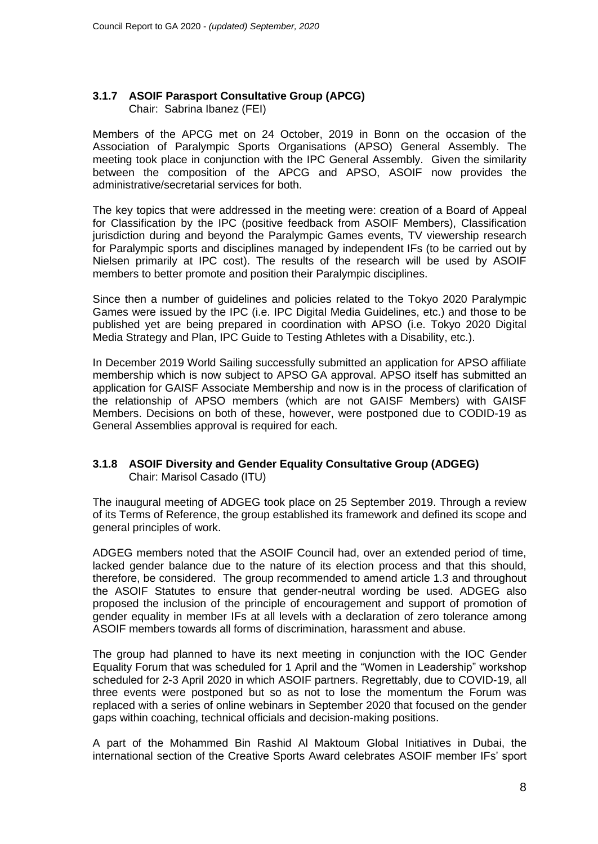# **3.1.7 ASOIF Parasport Consultative Group (APCG)**

Chair: Sabrina Ibanez (FEI)

Members of the APCG met on 24 October, 2019 in Bonn on the occasion of the Association of Paralympic Sports Organisations (APSO) General Assembly. The meeting took place in conjunction with the IPC General Assembly. Given the similarity between the composition of the APCG and APSO, ASOIF now provides the administrative/secretarial services for both.

The key topics that were addressed in the meeting were: creation of a Board of Appeal for Classification by the IPC (positive feedback from ASOIF Members), Classification jurisdiction during and beyond the Paralympic Games events, TV viewership research for Paralympic sports and disciplines managed by independent IFs (to be carried out by Nielsen primarily at IPC cost). The results of the research will be used by ASOIF members to better promote and position their Paralympic disciplines.

Since then a number of guidelines and policies related to the Tokyo 2020 Paralympic Games were issued by the IPC (i.e. IPC Digital Media Guidelines, etc.) and those to be published yet are being prepared in coordination with APSO (i.e. Tokyo 2020 Digital Media Strategy and Plan, IPC Guide to Testing Athletes with a Disability, etc.).

In December 2019 World Sailing successfully submitted an application for APSO affiliate membership which is now subject to APSO GA approval. APSO itself has submitted an application for GAISF Associate Membership and now is in the process of clarification of the relationship of APSO members (which are not GAISF Members) with GAISF Members. Decisions on both of these, however, were postponed due to CODID-19 as General Assemblies approval is required for each.

## **3.1.8 ASOIF Diversity and Gender Equality Consultative Group (ADGEG)** Chair: Marisol Casado (ITU)

The inaugural meeting of ADGEG took place on 25 September 2019. Through a review of its Terms of Reference, the group established its framework and defined its scope and general principles of work.

ADGEG members noted that the ASOIF Council had, over an extended period of time, lacked gender balance due to the nature of its election process and that this should, therefore, be considered. The group recommended to amend article 1.3 and throughout the ASOIF Statutes to ensure that gender-neutral wording be used. ADGEG also proposed the inclusion of the principle of encouragement and support of promotion of gender equality in member IFs at all levels with a declaration of zero tolerance among ASOIF members towards all forms of discrimination, harassment and abuse.

The group had planned to have its next meeting in conjunction with the IOC Gender Equality Forum that was scheduled for 1 April and the "Women in Leadership" workshop scheduled for 2-3 April 2020 in which ASOIF partners. Regrettably, due to COVID-19, all three events were postponed but so as not to lose the momentum the Forum was replaced with a series of online webinars in September 2020 that focused on the gender gaps within coaching, technical officials and decision-making positions.

A part of the Mohammed Bin Rashid Al Maktoum Global Initiatives in Dubai, the international section of the Creative Sports Award celebrates ASOIF member IFs' sport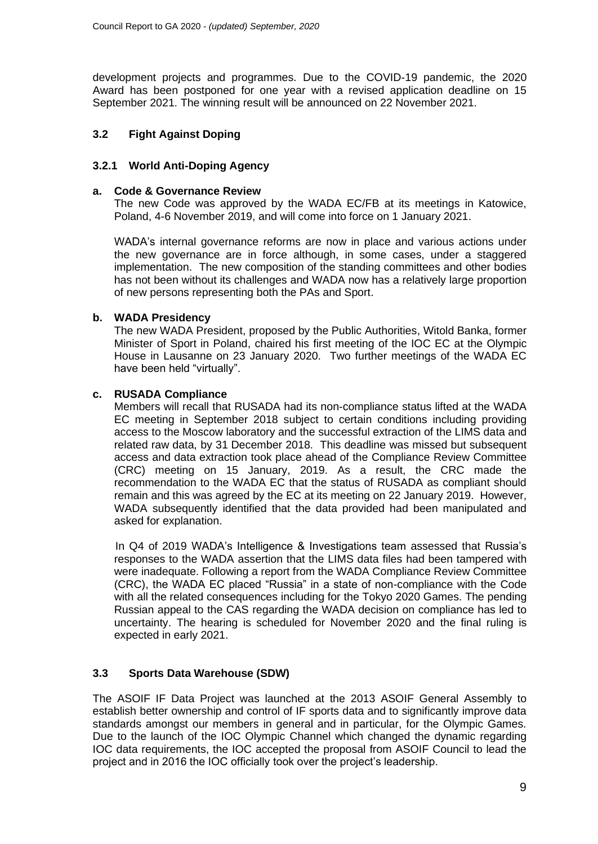development projects and programmes. Due to the COVID-19 pandemic, the 2020 Award has been postponed for one year with a revised application deadline on 15 September 2021. The winning result will be announced on 22 November 2021.

## **3.2 Fight Against Doping**

## **3.2.1 World Anti-Doping Agency**

### **a. Code & Governance Review**

The new Code was approved by the WADA EC/FB at its meetings in Katowice, Poland, 4-6 November 2019, and will come into force on 1 January 2021.

WADA's internal governance reforms are now in place and various actions under the new governance are in force although, in some cases, under a staggered implementation. The new composition of the standing committees and other bodies has not been without its challenges and WADA now has a relatively large proportion of new persons representing both the PAs and Sport.

### **b. WADA Presidency**

The new WADA President, proposed by the Public Authorities, Witold Banka, former Minister of Sport in Poland, chaired his first meeting of the IOC EC at the Olympic House in Lausanne on 23 January 2020. Two further meetings of the WADA EC have been held "virtually".

## **c. RUSADA Compliance**

Members will recall that RUSADA had its non-compliance status lifted at the WADA EC meeting in September 2018 subject to certain conditions including providing access to the Moscow laboratory and the successful extraction of the LIMS data and related raw data, by 31 December 2018. This deadline was missed but subsequent access and data extraction took place ahead of the Compliance Review Committee (CRC) meeting on 15 January, 2019. As a result, the CRC made the recommendation to the WADA EC that the status of RUSADA as compliant should remain and this was agreed by the EC at its meeting on 22 January 2019. However, WADA subsequently identified that the data provided had been manipulated and asked for explanation.

In Q4 of 2019 WADA's Intelligence & Investigations team assessed that Russia's responses to the WADA assertion that the LIMS data files had been tampered with were inadequate. Following a report from the WADA Compliance Review Committee (CRC), the WADA EC placed "Russia" in a state of non-compliance with the Code with all the related consequences including for the Tokyo 2020 Games. The pending Russian appeal to the CAS regarding the WADA decision on compliance has led to uncertainty. The hearing is scheduled for November 2020 and the final ruling is expected in early 2021.

## **3.3 Sports Data Warehouse (SDW)**

The ASOIF IF Data Project was launched at the 2013 ASOIF General Assembly to establish better ownership and control of IF sports data and to significantly improve data standards amongst our members in general and in particular, for the Olympic Games. Due to the launch of the IOC Olympic Channel which changed the dynamic regarding IOC data requirements, the IOC accepted the proposal from ASOIF Council to lead the project and in 2016 the IOC officially took over the project's leadership.